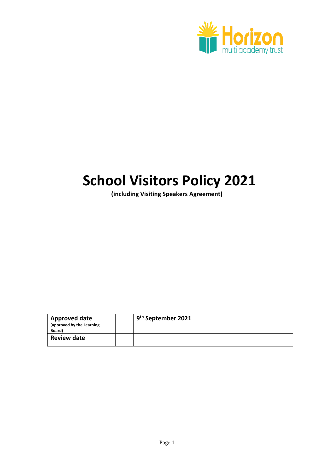

# **School Visitors Policy 2021**

**(including Visiting Speakers Agreement)**

| <b>Approved date</b><br>(approved by the Learning<br>Board) | 9 <sup>th</sup> September 2021 |
|-------------------------------------------------------------|--------------------------------|
| <b>Review date</b>                                          |                                |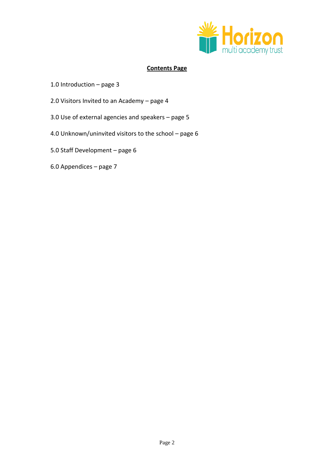

# **Contents Page**

- 1.0 Introduction page 3
- 2.0 Visitors Invited to an Academy page 4
- 3.0 Use of external agencies and speakers page 5
- 4.0 Unknown/uninvited visitors to the school page 6
- 5.0 Staff Development page 6
- 6.0 Appendices page 7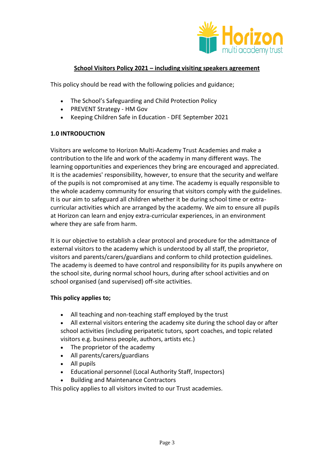

# **School Visitors Policy 2021 – including visiting speakers agreement**

This policy should be read with the following policies and guidance;

- The School's Safeguarding and Child Protection Policy
- PREVENT Strategy HM Gov
- Keeping Children Safe in Education DFE September 2021

# **1.0 INTRODUCTION**

Visitors are welcome to Horizon Multi-Academy Trust Academies and make a contribution to the life and work of the academy in many different ways. The learning opportunities and experiences they bring are encouraged and appreciated. It is the academies' responsibility, however, to ensure that the security and welfare of the pupils is not compromised at any time. The academy is equally responsible to the whole academy community for ensuring that visitors comply with the guidelines. It is our aim to safeguard all children whether it be during school time or extracurricular activities which are arranged by the academy. We aim to ensure all pupils at Horizon can learn and enjoy extra-curricular experiences, in an environment where they are safe from harm.

It is our objective to establish a clear protocol and procedure for the admittance of external visitors to the academy which is understood by all staff, the proprietor, visitors and parents/carers/guardians and conform to child protection guidelines. The academy is deemed to have control and responsibility for its pupils anywhere on the school site, during normal school hours, during after school activities and on school organised (and supervised) off-site activities.

### **This policy applies to;**

- All teaching and non-teaching staff employed by the trust
- All external visitors entering the academy site during the school day or after school activities (including peripatetic tutors, sport coaches, and topic related visitors e.g. business people, authors, artists etc.)
- The proprietor of the academy
- All parents/carers/guardians
- All pupils
- Educational personnel (Local Authority Staff, Inspectors)
- Building and Maintenance Contractors

This policy applies to all visitors invited to our Trust academies.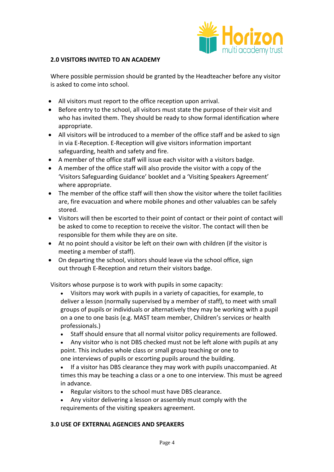

#### **2.0 VISITORS INVITED TO AN ACADEMY**

Where possible permission should be granted by the Headteacher before any visitor is asked to come into school.

- All visitors must report to the office reception upon arrival.
- Before entry to the school, all visitors must state the purpose of their visit and who has invited them. They should be ready to show formal identification where appropriate.
- All visitors will be introduced to a member of the office staff and be asked to sign in via E-Reception. E-Reception will give visitors information important safeguarding, health and safety and fire.
- A member of the office staff will issue each visitor with a visitors badge.
- A member of the office staff will also provide the visitor with a copy of the 'Visitors Safeguarding Guidance' booklet and a 'Visiting Speakers Agreement' where appropriate.
- The member of the office staff will then show the visitor where the toilet facilities are, fire evacuation and where mobile phones and other valuables can be safely stored.
- Visitors will then be escorted to their point of contact or their point of contact will be asked to come to reception to receive the visitor. The contact will then be responsible for them while they are on site.
- At no point should a visitor be left on their own with children (if the visitor is meeting a member of staff).
- On departing the school, visitors should leave via the school office, sign out through E-Reception and return their visitors badge.

Visitors whose purpose is to work with pupils in some capacity:

- Visitors may work with pupils in a variety of capacities, for example, to deliver a lesson (normally supervised by a member of staff), to meet with small groups of pupils or individuals or alternatively they may be working with a pupil on a one to one basis (e.g. MAST team member, Children's services or health professionals.)
- Staff should ensure that all normal visitor policy requirements are followed.
- Any visitor who is not DBS checked must not be left alone with pupils at any point. This includes whole class or small group teaching or one to

one interviews of pupils or escorting pupils around the building.

- If a visitor has DBS clearance they may work with pupils unaccompanied. At times this may be teaching a class or a one to one interview. This must be agreed in advance.
- Regular visitors to the school must have DBS clearance.
- Any visitor delivering a lesson or assembly must comply with the requirements of the visiting speakers agreement.

### **3.0 USE OF EXTERNAL AGENCIES AND SPEAKERS**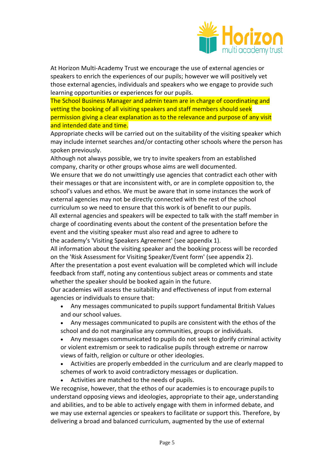

At Horizon Multi-Academy Trust we encourage the use of external agencies or speakers to enrich the experiences of our pupils; however we will positively vet those external agencies, individuals and speakers who we engage to provide such learning opportunities or experiences for our pupils.

The School Business Manager and admin team are in charge of coordinating and vetting the booking of all visiting speakers and staff members should seek permission giving a clear explanation as to the relevance and purpose of any visit and intended date and time.

Appropriate checks will be carried out on the suitability of the visiting speaker which may include internet searches and/or contacting other schools where the person has spoken previously.

Although not always possible, we try to invite speakers from an established company, charity or other groups whose aims are well documented. We ensure that we do not unwittingly use agencies that contradict each other with their messages or that are inconsistent with, or are in complete opposition to, the school's values and ethos. We must be aware that in some instances the work of external agencies may not be directly connected with the rest of the school curriculum so we need to ensure that this work is of benefit to our pupils. All external agencies and speakers will be expected to talk with the staff member in charge of coordinating events about the content of the presentation before the event and the visiting speaker must also read and agree to adhere to the academy's 'Visiting Speakers Agreement' (see appendix 1).

All information about the visiting speaker and the booking process will be recorded on the 'Risk Assessment for Visiting Speaker/Event form' (see appendix 2).

After the presentation a post event evaluation will be completed which will include feedback from staff, noting any contentious subject areas or comments and state whether the speaker should be booked again in the future.

Our academies will assess the suitability and effectiveness of input from external agencies or individuals to ensure that:

- Any messages communicated to pupils support fundamental British Values and our school values.
- Any messages communicated to pupils are consistent with the ethos of the school and do not marginalise any communities, groups or individuals.

 Any messages communicated to pupils do not seek to glorify criminal activity or violent extremism or seek to radicalise pupils through extreme or narrow views of faith, religion or culture or other ideologies.

- Activities are properly embedded in the curriculum and are clearly mapped to schemes of work to avoid contradictory messages or duplication.
- Activities are matched to the needs of pupils.

We recognise, however, that the ethos of our academies is to encourage pupils to understand opposing views and ideologies, appropriate to their age, understanding and abilities, and to be able to actively engage with them in informed debate, and we may use external agencies or speakers to facilitate or support this. Therefore, by delivering a broad and balanced curriculum, augmented by the use of external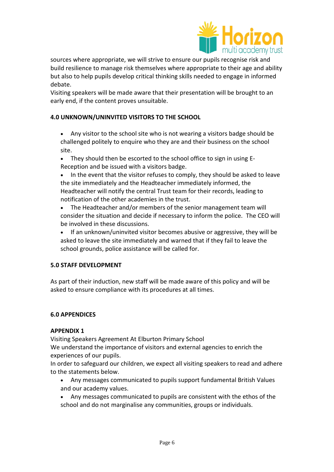

sources where appropriate, we will strive to ensure our pupils recognise risk and build resilience to manage risk themselves where appropriate to their age and ability but also to help pupils develop critical thinking skills needed to engage in informed debate.

Visiting speakers will be made aware that their presentation will be brought to an early end, if the content proves unsuitable.

### **4.0 UNKNOWN/UNINVITED VISITORS TO THE SCHOOL**

 Any visitor to the school site who is not wearing a visitors badge should be challenged politely to enquire who they are and their business on the school site.

 They should then be escorted to the school office to sign in using E-Reception and be issued with a visitors badge.

 In the event that the visitor refuses to comply, they should be asked to leave the site immediately and the Headteacher immediately informed, the Headteacher will notify the central Trust team for their records, leading to notification of the other academies in the trust.

 The Headteacher and/or members of the senior management team will consider the situation and decide if necessary to inform the police. The CEO will be involved in these discussions.

 If an unknown/uninvited visitor becomes abusive or aggressive, they will be asked to leave the site immediately and warned that if they fail to leave the school grounds, police assistance will be called for.

#### **5.0 STAFF DEVELOPMENT**

As part of their induction, new staff will be made aware of this policy and will be asked to ensure compliance with its procedures at all times.

#### **6.0 APPENDICES**

#### **APPENDIX 1**

Visiting Speakers Agreement At Elburton Primary School We understand the importance of visitors and external agencies to enrich the experiences of our pupils.

In order to safeguard our children, we expect all visiting speakers to read and adhere to the statements below.

- Any messages communicated to pupils support fundamental British Values and our academy values.
- Any messages communicated to pupils are consistent with the ethos of the school and do not marginalise any communities, groups or individuals.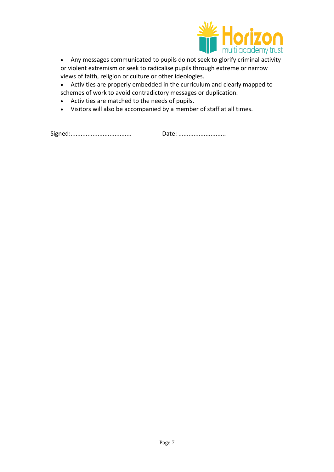

- Any messages communicated to pupils do not seek to glorify criminal activity or violent extremism or seek to radicalise pupils through extreme or narrow views of faith, religion or culture or other ideologies.
- Activities are properly embedded in the curriculum and clearly mapped to schemes of work to avoid contradictory messages or duplication.
- Activities are matched to the needs of pupils.
- Visitors will also be accompanied by a member of staff at all times.

Signed:.................................... Date: ............................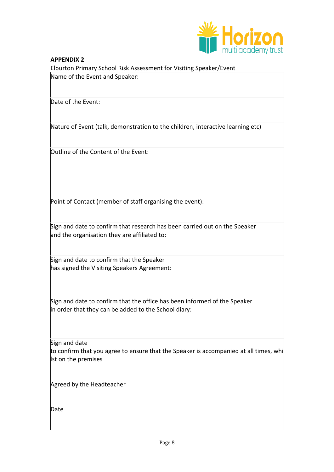

# **APPENDIX 2** Elburton Primary School Risk Assessment for Visiting Speaker/Event Name of the Event and Speaker:

Date of the Event:

Nature of Event (talk, demonstration to the children, interactive learning etc)

Outline of the Content of the Event:

Point of Contact (member of staff organising the event):

Sign and date to confirm that research has been carried out on the Speaker and the organisation they are affiliated to:

Sign and date to confirm that the Speaker has signed the Visiting Speakers Agreement:

Sign and date to confirm that the office has been informed of the Speaker in order that they can be added to the School diary:

Sign and date

to confirm that you agree to ensure that the Speaker is accompanied at all times, whi lst on the premises

Agreed by the Headteacher

Date